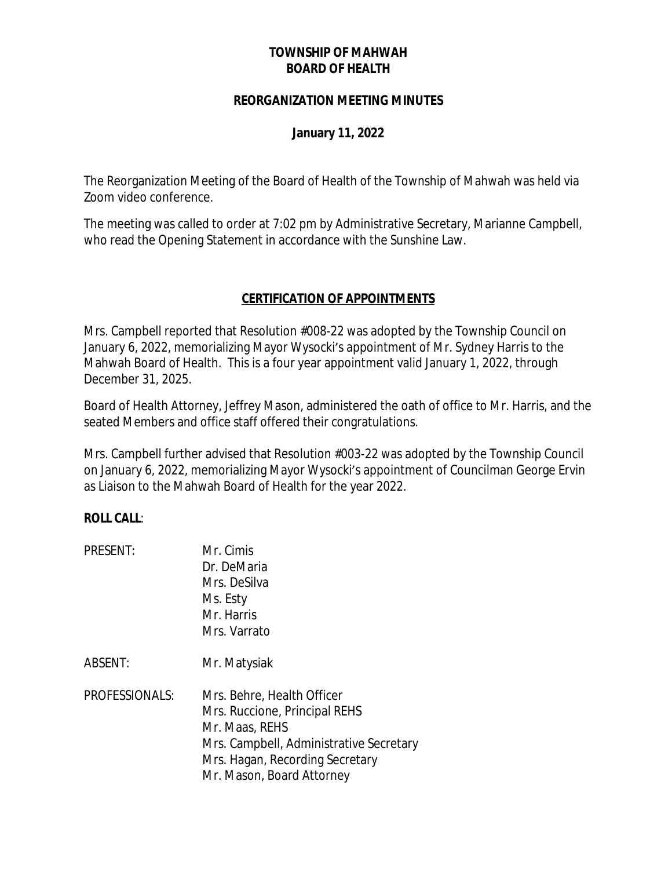# **TOWNSHIP OF MAHWAH BOARD OF HEALTH**

#### **REORGANIZATION MEETING MINUTES**

### **January 11, 2022**

The Reorganization Meeting of the Board of Health of the Township of Mahwah was held via Zoom video conference.

The meeting was called to order at 7:02 pm by Administrative Secretary, Marianne Campbell, who read the Opening Statement in accordance with the Sunshine Law.

# **CERTIFICATION OF APPOINTMENTS**

Mrs. Campbell reported that Resolution #008-22 was adopted by the Township Council on January 6, 2022, memorializing Mayor Wysocki's appointment of Mr. Sydney Harris to the Mahwah Board of Health. This is a four year appointment valid January 1, 2022, through December 31, 2025.

Board of Health Attorney, Jeffrey Mason, administered the oath of office to Mr. Harris, and the seated Members and office staff offered their congratulations.

Mrs. Campbell further advised that Resolution #003-22 was adopted by the Township Council on January 6, 2022, memorializing Mayor Wysocki's appointment of Councilman George Ervin as Liaison to the Mahwah Board of Health for the year 2022.

### **ROLL CALL**:

PRESENT: Mr. Cimis Dr. DeMaria Mrs. DeSilva Ms. Esty Mr. Harris Mrs. Varrato

ABSENT: Mr. Matysiak

PROFESSIONALS: Mrs. Behre, Health Officer Mrs. Ruccione, Principal REHS Mr. Maas, REHS Mrs. Campbell, Administrative Secretary Mrs. Hagan, Recording Secretary Mr. Mason, Board Attorney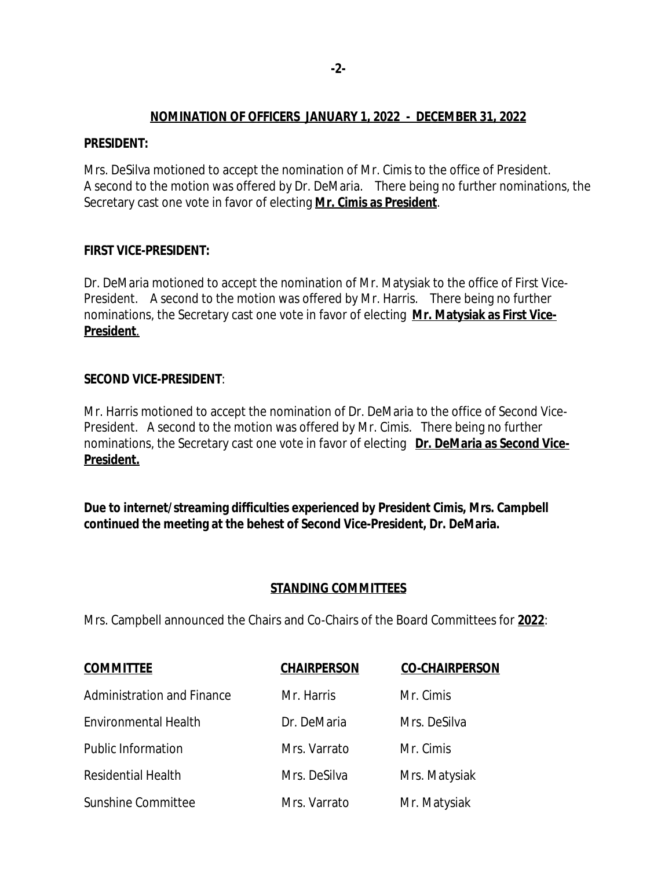## **NOMINATION OF OFFICERS JANUARY 1, 2022 - DECEMBER 31, 2022**

### **PRESIDENT:**

Mrs. DeSilva motioned to accept the nomination of Mr. Cimis to the office of President. A second to the motion was offered by Dr. DeMaria. There being no further nominations, the Secretary cast one vote in favor of electing **Mr. Cimis as President**.

### **FIRST VICE-PRESIDENT:**

Dr. DeMaria motioned to accept the nomination of Mr. Matysiak to the office of First Vice-President. A second to the motion was offered by Mr. Harris. There being no further nominations, the Secretary cast one vote in favor of electing **Mr. Matysiak as First Vice-President**.

### **SECOND VICE-PRESIDENT**:

Mr. Harris motioned to accept the nomination of Dr. DeMaria to the office of Second Vice-President. A second to the motion was offered by Mr. Cimis. There being no further nominations, the Secretary cast one vote in favor of electing **Dr. DeMaria as Second Vice-President.**

**Due to internet/streaming difficulties experienced by President Cimis, Mrs. Campbell continued the meeting at the behest of Second Vice-President, Dr. DeMaria.**

### **STANDING COMMITTEES**

Mrs. Campbell announced the Chairs and Co-Chairs of the Board Committees for **2022**:

| <b>COMMITTEE</b>            | <b>CHAIRPERSON</b> | <b>CO-CHAIRPERSON</b> |
|-----------------------------|--------------------|-----------------------|
| Administration and Finance  | Mr. Harris         | Mr. Cimis             |
| <b>Environmental Health</b> | Dr. DeMaria        | Mrs. DeSilva          |
| <b>Public Information</b>   | Mrs. Varrato       | Mr. Cimis             |
| <b>Residential Health</b>   | Mrs. DeSilva       | Mrs. Matysiak         |
| Sunshine Committee          | Mrs. Varrato       | Mr. Matysiak          |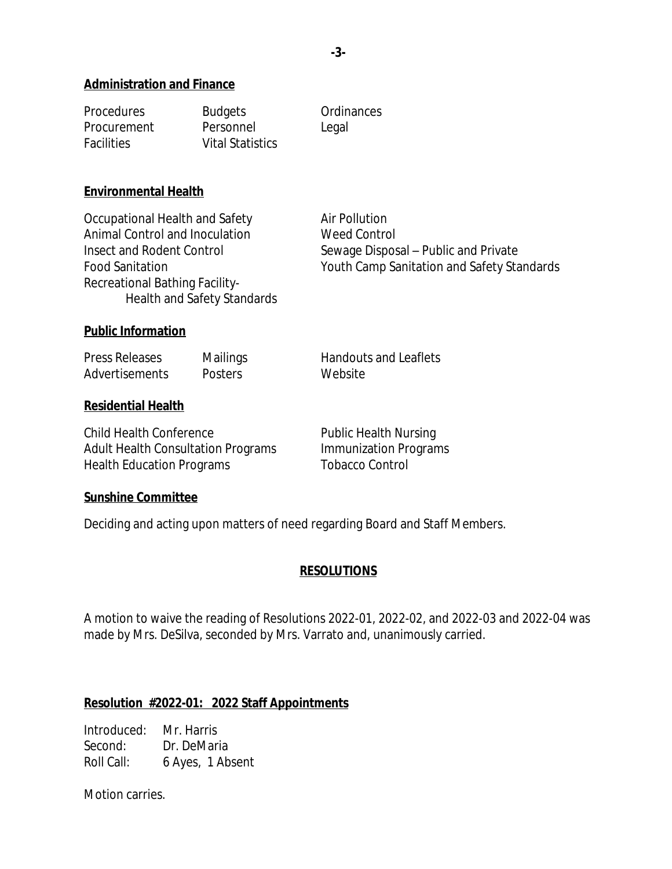#### **Administration and Finance**

| <b>Procedures</b> | <b>Budgets</b>          | Ordinances |
|-------------------|-------------------------|------------|
| Procurement       | Personnel               | Legal      |
| <b>Facilities</b> | <b>Vital Statistics</b> |            |

#### **Environmental Health**

Occupational Health and Safety **Air Pollution** Animal Control and Inoculation Weed Control Insect and Rodent Control Sewage Disposal – Public and Private Food Sanitation Youth Camp Sanitation and Safety Standards Recreational Bathing Facility- Health and Safety Standards

#### **Public Information**

Press Releases Mailings Handouts and Leaflets Advertisements Posters Website

#### **Residential Health**

Child Health Conference **Public Health Nursing** Adult Health Consultation Programs Immunization Programs Health Education Programs Tobacco Control

#### **Sunshine Committee**

Deciding and acting upon matters of need regarding Board and Staff Members.

### **RESOLUTIONS**

A motion to waive the reading of Resolutions 2022-01, 2022-02, and 2022-03 and 2022-04 was made by Mrs. DeSilva, seconded by Mrs. Varrato and, unanimously carried.

#### **Resolution #2022-01: 2022 Staff Appointments**

Introduced: Mr. Harris Second: Dr. DeMaria Roll Call: 6 Ayes, 1 Absent

Motion carries.